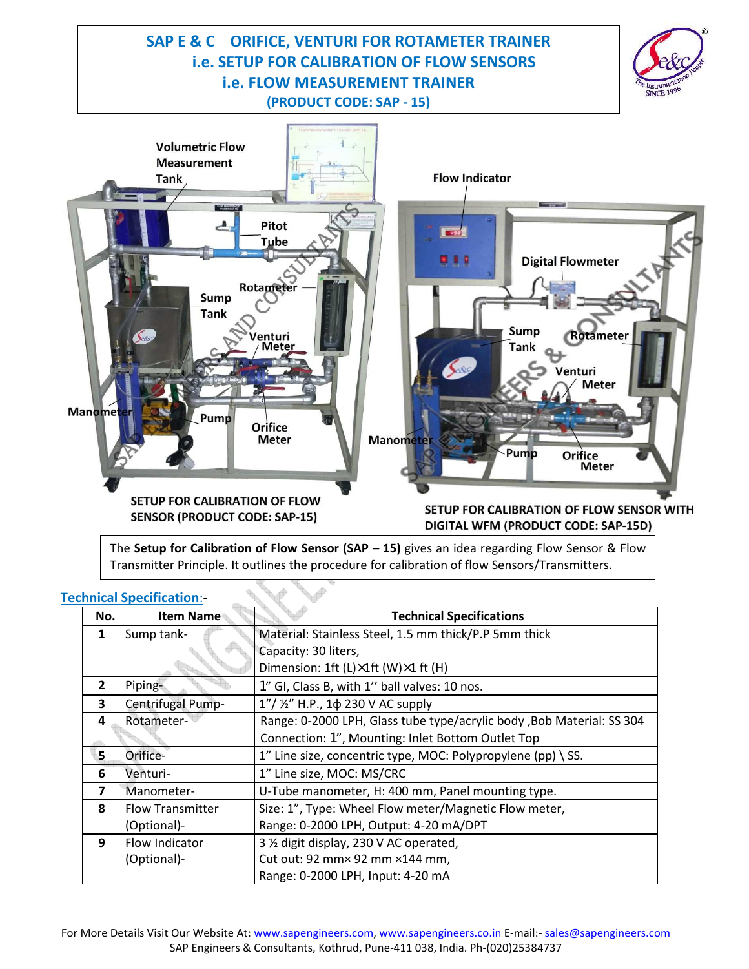# **SAP E & C ORIFICE, VENTURI FOR ROTAMETER TRAINER i.e. SETUP FOR CALIBRATION OF FLOW SENSORS i.e. FLOW MEASUREMENT TRAINER (PRODUCT CODE: SAP - 15)**





The **Setup for Calibration of Flow Sensor (SAP – 15)** gives an idea regarding Flow Sensor & Flow Transmitter Principle. It outlines the procedure for calibration of flow Sensors/Transmitters.

| No.            | <b>Item Name</b>        | <b>Technical Specifications</b>                                       |
|----------------|-------------------------|-----------------------------------------------------------------------|
| 1              | Sump tank-              | Material: Stainless Steel, 1.5 mm thick/P.P 5mm thick                 |
|                |                         | Capacity: 30 liters,                                                  |
|                |                         | Dimension: 1ft (L)×1ft (W)×1 ft (H)                                   |
| $\overline{2}$ | Piping-                 | 1" GI, Class B, with 1" ball valves: 10 nos.                          |
| 3              | Centrifugal Pump-       | 1"/ 1/2" H.P., 1 $\phi$ 230 V AC supply                               |
| 4              | Rotameter-              | Range: 0-2000 LPH, Glass tube type/acrylic body, Bob Material: SS 304 |
|                |                         | Connection: 1", Mounting: Inlet Bottom Outlet Top                     |
| 5              | Orifice-                | 1" Line size, concentric type, MOC: Polypropylene (pp) \ SS.          |
| 6              | Venturi-                | 1" Line size, MOC: MS/CRC                                             |
| 7              | Manometer-              | U-Tube manometer, H: 400 mm, Panel mounting type.                     |
| 8              | <b>Flow Transmitter</b> | Size: 1", Type: Wheel Flow meter/Magnetic Flow meter,                 |
|                | (Optional)-             | Range: 0-2000 LPH, Output: 4-20 mA/DPT                                |
| 9              | Flow Indicator          | 3 1/2 digit display, 230 V AC operated,                               |
|                | (Optional)-             | Cut out: 92 mm× 92 mm × 144 mm,                                       |
|                |                         | Range: 0-2000 LPH, Input: 4-20 mA                                     |

## **Technical Specification**:-